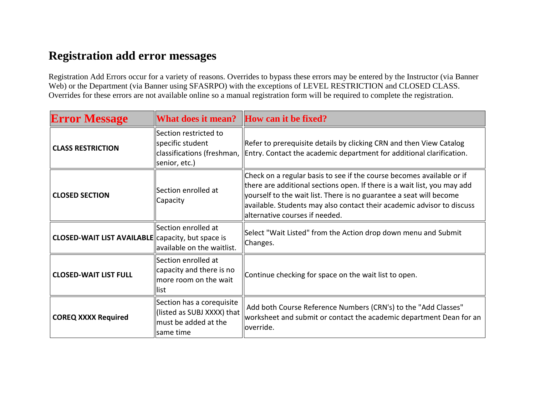## **Registration add error messages**

Registration Add Errors occur for a variety of reasons. Overrides to bypass these errors may be entered by the Instructor (via Banner Web) or the Department (via Banner using SFASRPO) with the exceptions of LEVEL RESTRICTION and CLOSED CLASS. Overrides for these errors are not available online so a manual registration form will be required to complete the registration.

| <b>Error Message</b>                                     | What does it mean? How can it be fixed?                                                      |                                                                                                                                                                                                                                                                                                                                      |
|----------------------------------------------------------|----------------------------------------------------------------------------------------------|--------------------------------------------------------------------------------------------------------------------------------------------------------------------------------------------------------------------------------------------------------------------------------------------------------------------------------------|
| <b>CLASS RESTRICTION</b>                                 | Section restricted to<br>specific student<br>senior, etc.)                                   | Refer to prerequisite details by clicking CRN and then View Catalog<br>$ classifications$ (freshman, $ [Entry.$ Contact the academic department for additional clarification.                                                                                                                                                        |
| <b>CLOSED SECTION</b>                                    | Section enrolled at<br>Capacity                                                              | Check on a regular basis to see if the course becomes available or if<br>there are additional sections open. If there is a wait list, you may add<br>yourself to the wait list. There is no guarantee a seat will become<br>available. Students may also contact their academic advisor to discuss<br>alternative courses if needed. |
| <b>CLOSED-WAIT LIST AVAILABLE</b> capacity, but space is | Section enrolled at<br>lavailable on the waitlist.                                           | Select "Wait Listed" from the Action drop down menu and Submit<br>Changes.                                                                                                                                                                                                                                                           |
| <b>CLOSED-WAIT LIST FULL</b>                             | Section enrolled at<br>capacity and there is no<br>more room on the wait<br>list             | Continue checking for space on the wait list to open.                                                                                                                                                                                                                                                                                |
| <b>COREQ XXXX Required</b>                               | Section has a corequisite<br>llisted as SUBJ XXXX) that<br>must be added at the<br>same time | Add both Course Reference Numbers (CRN's) to the "Add Classes"<br>worksheet and submit or contact the academic department Dean for an<br>lloverride.                                                                                                                                                                                 |